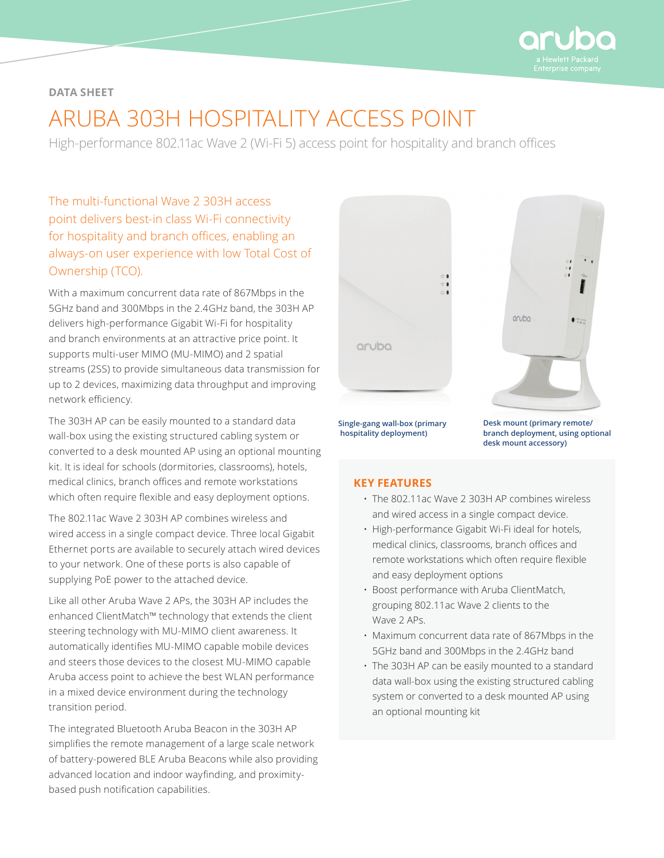

# **DATA SHEET**

# ARUBA 303H HOSPITALITY ACCESS POINT

High-performance 802.11ac Wave 2 (Wi-Fi 5) access point for hospitality and branch offices

The multi-functional Wave 2 303H access point delivers best-in class Wi-Fi connectivity for hospitality and branch offices, enabling an always-on user experience with low Total Cost of Ownership (TCO).

With a maximum concurrent data rate of 867Mbps in the 5GHz band and 300Mbps in the 2.4GHz band, the 303H AP delivers high-performance Gigabit Wi-Fi for hospitality and branch environments at an attractive price point. It supports multi-user MIMO (MU-MIMO) and 2 spatial streams (2SS) to provide simultaneous data transmission for up to 2 devices, maximizing data throughput and improving network efficiency.

The 303H AP can be easily mounted to a standard data wall-box using the existing structured cabling system or converted to a desk mounted AP using an optional mounting kit. It is ideal for schools (dormitories, classrooms), hotels, medical clinics, branch offices and remote workstations which often require flexible and easy deployment options.

The 802.11ac Wave 2 303H AP combines wireless and wired access in a single compact device. Three local Gigabit Ethernet ports are available to securely attach wired devices to your network. One of these ports is also capable of supplying PoE power to the attached device.

Like all other Aruba Wave 2 APs, the 303H AP includes the enhanced ClientMatch™ technology that extends the client steering technology with MU-MIMO client awareness. It automatically identifies MU-MIMO capable mobile devices and steers those devices to the closest MU-MIMO capable Aruba access point to achieve the best WLAN performance in a mixed device environment during the technology transition period.

The integrated Bluetooth Aruba Beacon in the 303H AP simplifies the remote management of a large scale network of battery-powered BLE Aruba Beacons while also providing advanced location and indoor wayfinding, and proximitybased push notification capabilities.





**Single-gang wall-box (primary hospitality deployment)**

**Desk mount (primary remote/ branch deployment, using optional desk mount accessory)**

# **KEY FEATURES**

- The 802.11ac Wave 2 303H AP combines wireless and wired access in a single compact device.
- High-performance Gigabit Wi-Fi ideal for hotels, medical clinics, classrooms, branch offices and remote workstations which often require flexible and easy deployment options
- Boost performance with Aruba ClientMatch, grouping 802.11ac Wave 2 clients to the Wave 2 APs.
- Maximum concurrent data rate of 867Mbps in the 5GHz band and 300Mbps in the 2.4GHz band
- The 303H AP can be easily mounted to a standard data wall-box using the existing structured cabling system or converted to a desk mounted AP using an optional mounting kit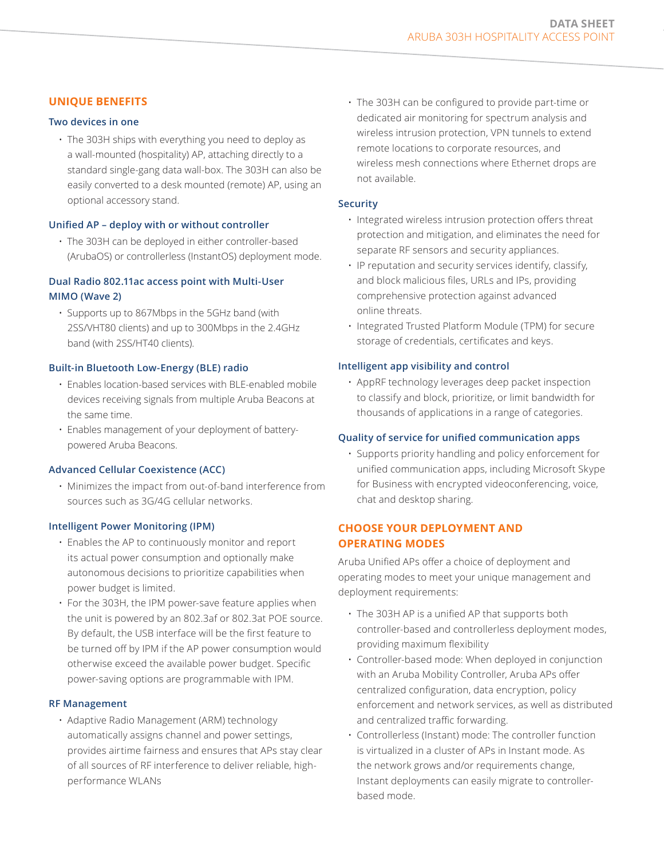# **UNIQUE BENEFITS**

## **Two devices in one**

• The 303H ships with everything you need to deploy as a wall-mounted (hospitality) AP, attaching directly to a standard single-gang data wall-box. The 303H can also be easily converted to a desk mounted (remote) AP, using an optional accessory stand.

#### **Unified AP – deploy with or without controller**

• The 303H can be deployed in either controller-based (ArubaOS) or controllerless (InstantOS) deployment mode.

## **Dual Radio 802.11ac access point with Multi-User MIMO (Wave 2)**

• Supports up to 867Mbps in the 5GHz band (with 2SS/VHT80 clients) and up to 300Mbps in the 2.4GHz band (with 2SS/HT40 clients).

#### **Built-in Bluetooth Low-Energy (BLE) radio**

- Enables location-based services with BLE-enabled mobile devices receiving signals from multiple Aruba Beacons at the same time.
- Enables management of your deployment of batterypowered Aruba Beacons.

## **Advanced Cellular Coexistence (ACC)**

• Minimizes the impact from out-of-band interference from sources such as 3G/4G cellular networks.

#### **Intelligent Power Monitoring (IPM)**

- Enables the AP to continuously monitor and report its actual power consumption and optionally make autonomous decisions to prioritize capabilities when power budget is limited.
- For the 303H, the IPM power-save feature applies when the unit is powered by an 802.3af or 802.3at POE source. By default, the USB interface will be the first feature to be turned off by IPM if the AP power consumption would otherwise exceed the available power budget. Specific power-saving options are programmable with IPM.

#### **RF Management**

• Adaptive Radio Management (ARM) technology automatically assigns channel and power settings, provides airtime fairness and ensures that APs stay clear of all sources of RF interference to deliver reliable, highperformance WLANs

• The 303H can be configured to provide part-time or dedicated air monitoring for spectrum analysis and wireless intrusion protection, VPN tunnels to extend remote locations to corporate resources, and wireless mesh connections where Ethernet drops are not available.

#### **Security**

- Integrated wireless intrusion protection offers threat protection and mitigation, and eliminates the need for separate RF sensors and security appliances.
- IP reputation and security services identify, classify, and block malicious files, URLs and IPs, providing comprehensive protection against advanced online threats.
- Integrated Trusted Platform Module (TPM) for secure storage of credentials, certificates and keys.

#### **Intelligent app visibility and control**

• AppRF technology leverages deep packet inspection to classify and block, prioritize, or limit bandwidth for thousands of applications in a range of categories.

#### **Quality of service for unified communication apps**

• Supports priority handling and policy enforcement for unified communication apps, including Microsoft Skype for Business with encrypted videoconferencing, voice, chat and desktop sharing.

# **CHOOSE YOUR DEPLOYMENT AND OPERATING MODES**

Aruba Unified APs offer a choice of deployment and operating modes to meet your unique management and deployment requirements:

- The 303H AP is a unified AP that supports both controller-based and controllerless deployment modes, providing maximum flexibility
- Controller-based mode: When deployed in conjunction with an Aruba Mobility Controller, Aruba APs offer centralized configuration, data encryption, policy enforcement and network services, as well as distributed and centralized traffic forwarding.
- Controllerless (Instant) mode: The controller function is virtualized in a cluster of APs in Instant mode. As the network grows and/or requirements change, Instant deployments can easily migrate to controllerbased mode.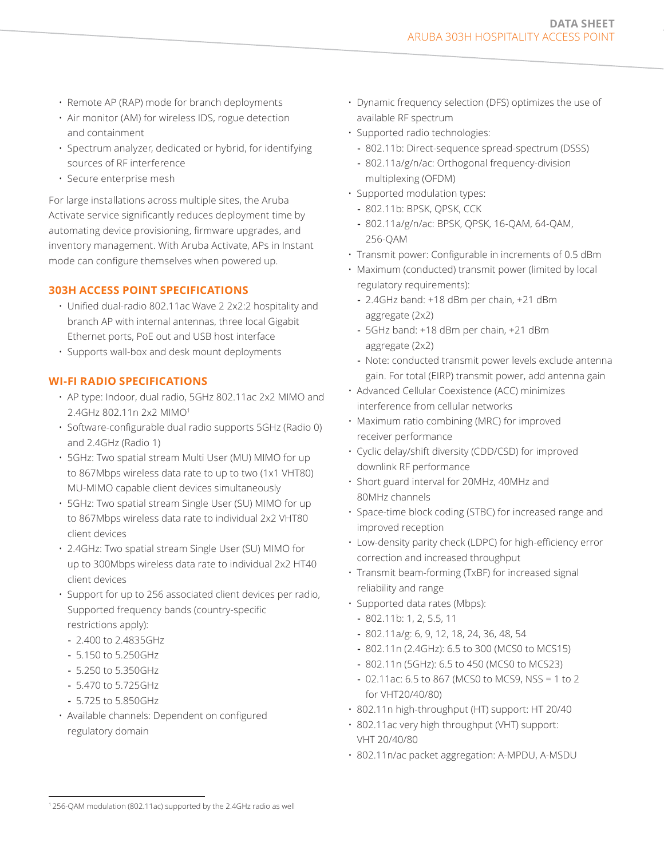- Remote AP (RAP) mode for branch deployments
- Air monitor (AM) for wireless IDS, rogue detection and containment
- Spectrum analyzer, dedicated or hybrid, for identifying sources of RF interference
- Secure enterprise mesh

For large installations across multiple sites, the Aruba Activate service significantly reduces deployment time by automating device provisioning, firmware upgrades, and inventory management. With Aruba Activate, APs in Instant mode can configure themselves when powered up.

## **303H ACCESS POINT SPECIFICATIONS**

- Unified dual-radio 802.11ac Wave 2 2x2:2 hospitality and branch AP with internal antennas, three local Gigabit Ethernet ports, PoE out and USB host interface
- Supports wall-box and desk mount deployments

## **WI-FI RADIO SPECIFICATIONS**

- AP type: Indoor, dual radio, 5GHz 802.11ac 2x2 MIMO and 2.4GHz 802.11n 2x2 MIMO1
- Software-configurable dual radio supports 5GHz (Radio 0) and 2.4GHz (Radio 1)
- 5GHz: Two spatial stream Multi User (MU) MIMO for up to 867Mbps wireless data rate to up to two (1x1 VHT80) MU-MIMO capable client devices simultaneously
- 5GHz: Two spatial stream Single User (SU) MIMO for up to 867Mbps wireless data rate to individual 2x2 VHT80 client devices
- 2.4GHz: Two spatial stream Single User (SU) MIMO for up to 300Mbps wireless data rate to individual 2x2 HT40 client devices
- Support for up to 256 associated client devices per radio, Supported frequency bands (country-specific restrictions apply):
- **-** 2.400 to 2.4835GHz
- **-** 5.150 to 5.250GHz
- **-** 5.250 to 5.350GHz
- **-** 5.470 to 5.725GHz
- **-** 5.725 to 5.850GHz
- Available channels: Dependent on configured regulatory domain
- Dynamic frequency selection (DFS) optimizes the use of available RF spectrum
- Supported radio technologies:
	- **-** 802.11b: Direct-sequence spread-spectrum (DSSS)
	- **-** 802.11a/g/n/ac: Orthogonal frequency-division multiplexing (OFDM)
- Supported modulation types:
- **-** 802.11b: BPSK, QPSK, CCK
- **-** 802.11a/g/n/ac: BPSK, QPSK, 16-QAM, 64-QAM, 256-QAM
- Transmit power: Configurable in increments of 0.5 dBm
- Maximum (conducted) transmit power (limited by local regulatory requirements):
	- **-** 2.4GHz band: +18 dBm per chain, +21 dBm aggregate (2x2)
	- **-** 5GHz band: +18 dBm per chain, +21 dBm aggregate (2x2)
	- **-** Note: conducted transmit power levels exclude antenna gain. For total (EIRP) transmit power, add antenna gain
- Advanced Cellular Coexistence (ACC) minimizes interference from cellular networks
- Maximum ratio combining (MRC) for improved receiver performance
- Cyclic delay/shift diversity (CDD/CSD) for improved downlink RF performance
- Short guard interval for 20MHz, 40MHz and 80MHz channels
- Space-time block coding (STBC) for increased range and improved reception
- Low-density parity check (LDPC) for high-efficiency error correction and increased throughput
- Transmit beam-forming (TxBF) for increased signal reliability and range
- Supported data rates (Mbps):
	- **-** 802.11b: 1, 2, 5.5, 11
	- **-** 802.11a/g: 6, 9, 12, 18, 24, 36, 48, 54
	- **-** 802.11n (2.4GHz): 6.5 to 300 (MCS0 to MCS15)
	- **-** 802.11n (5GHz): 6.5 to 450 (MCS0 to MCS23)
	- **-** 02.11ac: 6.5 to 867 (MCS0 to MCS9, NSS = 1 to 2 for VHT20/40/80)
- 802.11n high-throughput (HT) support: HT 20/40
- 802.11ac very high throughput (VHT) support: VHT 20/40/80
- 802.11n/ac packet aggregation: A-MPDU, A-MSDU

<sup>1</sup> 256-QAM modulation (802.11ac) supported by the 2.4GHz radio as well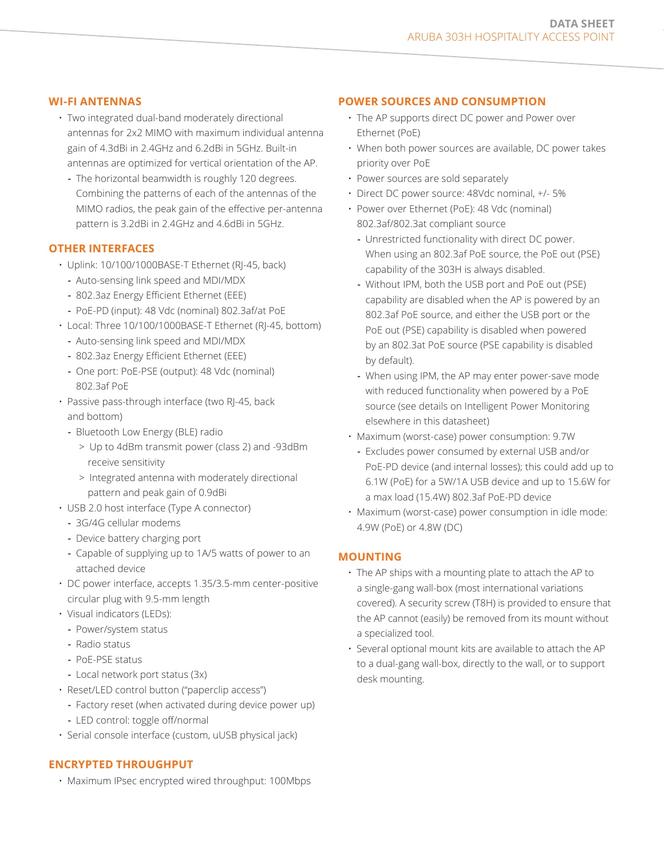#### **WI-FI ANTENNAS**

- Two integrated dual-band moderately directional antennas for 2x2 MIMO with maximum individual antenna gain of 4.3dBi in 2.4GHz and 6.2dBi in 5GHz. Built-in antennas are optimized for vertical orientation of the AP.
	- **-** The horizontal beamwidth is roughly 120 degrees. Combining the patterns of each of the antennas of the MIMO radios, the peak gain of the effective per-antenna pattern is 3.2dBi in 2.4GHz and 4.6dBi in 5GHz.

#### **OTHER INTERFACES**

- Uplink: 10/100/1000BASE-T Ethernet (RJ-45, back)
	- **-** Auto-sensing link speed and MDI/MDX
- **-** 802.3az Energy Efficient Ethernet (EEE)
- **-** PoE-PD (input): 48 Vdc (nominal) 802.3af/at PoE
- Local: Three 10/100/1000BASE-T Ethernet (RJ-45, bottom)
	- **-** Auto-sensing link speed and MDI/MDX
	- **-** 802.3az Energy Efficient Ethernet (EEE)
	- **-** One port: PoE-PSE (output): 48 Vdc (nominal) 802.3af PoE
- Passive pass-through interface (two RJ-45, back and bottom)
	- **-** Bluetooth Low Energy (BLE) radio
		- > Up to 4dBm transmit power (class 2) and -93dBm receive sensitivity
		- > Integrated antenna with moderately directional pattern and peak gain of 0.9dBi
- USB 2.0 host interface (Type A connector)
	- **-** 3G/4G cellular modems
	- **-** Device battery charging port
	- **-** Capable of supplying up to 1A/5 watts of power to an attached device
- DC power interface, accepts 1.35/3.5-mm center-positive circular plug with 9.5-mm length
- Visual indicators (LEDs):
	- **-** Power/system status
	- **-** Radio status
	- **-** PoE-PSE status
	- **-** Local network port status (3x)
- Reset/LED control button ("paperclip access")
	- **-** Factory reset (when activated during device power up)
	- **-** LED control: toggle off/normal
- Serial console interface (custom, uUSB physical jack)

## **ENCRYPTED THROUGHPUT**

• Maximum IPsec encrypted wired throughput: 100Mbps

#### **POWER SOURCES AND CONSUMPTION**

- The AP supports direct DC power and Power over Ethernet (PoE)
- When both power sources are available, DC power takes priority over PoE
- Power sources are sold separately
- Direct DC power source: 48Vdc nominal, +/- 5%
- Power over Ethernet (PoE): 48 Vdc (nominal) 802.3af/802.3at compliant source
	- **-** Unrestricted functionality with direct DC power. When using an 802.3af PoE source, the PoE out (PSE) capability of the 303H is always disabled.
	- **-** Without IPM, both the USB port and PoE out (PSE) capability are disabled when the AP is powered by an 802.3af PoE source, and either the USB port or the PoE out (PSE) capability is disabled when powered by an 802.3at PoE source (PSE capability is disabled by default).
	- **-** When using IPM, the AP may enter power-save mode with reduced functionality when powered by a PoE source (see details on Intelligent Power Monitoring elsewhere in this datasheet)
- Maximum (worst-case) power consumption: 9.7W
- **-** Excludes power consumed by external USB and/or PoE-PD device (and internal losses); this could add up to 6.1W (PoE) for a 5W/1A USB device and up to 15.6W for a max load (15.4W) 802.3af PoE-PD device
- Maximum (worst-case) power consumption in idle mode: 4.9W (PoE) or 4.8W (DC)

## **MOUNTING**

- The AP ships with a mounting plate to attach the AP to a single-gang wall-box (most international variations covered). A security screw (T8H) is provided to ensure that the AP cannot (easily) be removed from its mount without a specialized tool.
- Several optional mount kits are available to attach the AP to a dual-gang wall-box, directly to the wall, or to support desk mounting.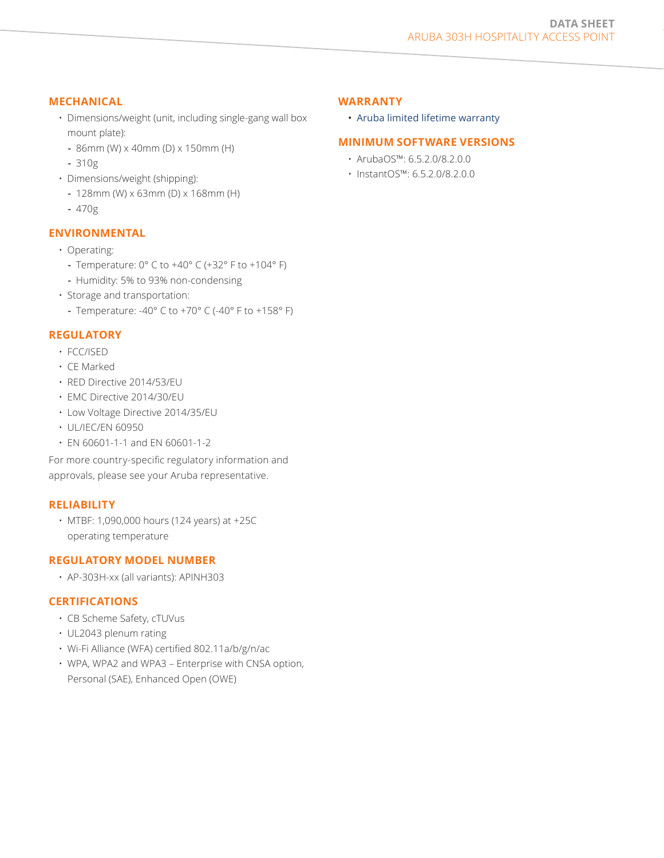## **MECHANICAL**

- Dimensions/weight (unit, including single-gang wall box mount plate):
	- **-** 86mm (W) x 40mm (D) x 150mm (H)
	- **-** 310g
- Dimensions/weight (shipping):
	- **-** 128mm (W) x 63mm (D) x 168mm (H)
	- **-** 470g

# **ENVIRONMENTAL**

- Operating:
	- **-** Temperature: 0° C to +40° C (+32° F to +104° F)
	- **-** Humidity: 5% to 93% non-condensing
- Storage and transportation:
	- **-** Temperature: -40° C to +70° C (-40° F to +158° F)

# **REGULATORY**

- FCC/ISED
- CE Marked
- RED Directive 2014/53/EU
- EMC Directive 2014/30/EU
- Low Voltage Directive 2014/35/EU
- UL/IEC/EN 60950
- EN 60601-1-1 and EN 60601-1-2

For more country-specific regulatory information and approvals, please see your Aruba representative.

# **RELIABILITY**

• MTBF: 1,090,000 hours (124 years) at +25C operating temperature

# **REGULATORY MODEL NUMBER**

• AP-303H-xx (all variants): APINH303

# **CERTIFICATIONS**

- CB Scheme Safety, cTUVus
- UL2043 plenum rating
- Wi-Fi Alliance (WFA) certified 802.11a/b/g/n/ac
- WPA, WPA2 and WPA3 Enterprise with CNSA option, Personal (SAE), Enhanced Open (OWE)

# **WARRANTY**

• Aruba [limited lifetime warranty](http://www.arubanetworks.com/support-services/product-warranties/)

# **MINIMUM SOFTWARE VERSIONS**

- ArubaOS™: 6.5.2.0/8.2.0.0
- InstantOS™: 6.5.2.0/8.2.0.0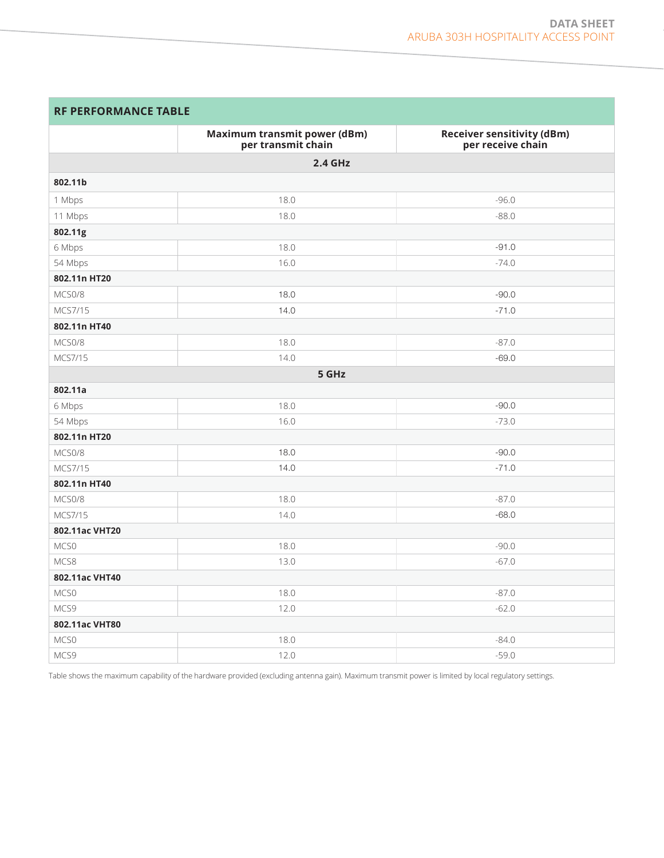| <b>RF PERFORMANCE TABLE</b> |  |  |  |  |  |  |  |  |  |  |  |  |  |  |  |  |  |  |  |  |
|-----------------------------|--|--|--|--|--|--|--|--|--|--|--|--|--|--|--|--|--|--|--|--|
|-----------------------------|--|--|--|--|--|--|--|--|--|--|--|--|--|--|--|--|--|--|--|--|

|                | <b>Maximum transmit power (dBm)</b><br>per transmit chain | <b>Receiver sensitivity (dBm)</b><br>per receive chain |
|----------------|-----------------------------------------------------------|--------------------------------------------------------|
|                | 2.4 GHz                                                   |                                                        |
| 802.11b        |                                                           |                                                        |
| 1 Mbps         | 18.0                                                      | $-96.0$                                                |
| 11 Mbps        | 18.0                                                      | $-88.0$                                                |
| 802.11g        |                                                           |                                                        |
| 6 Mbps         | 18.0                                                      | $-91.0$                                                |
| 54 Mbps        | 16.0                                                      | $-74.0$                                                |
| 802.11n HT20   |                                                           |                                                        |
| MCS0/8         | 18.0                                                      | $-90.0$                                                |
| MCS7/15        | 14.0                                                      | $-71.0$                                                |
| 802.11n HT40   |                                                           |                                                        |
| MCS0/8         | 18.0                                                      | $-87.0$                                                |
| MCS7/15        | 14.0                                                      | $-69.0$                                                |
|                | 5 GHz                                                     |                                                        |
| 802.11a        |                                                           |                                                        |
| 6 Mbps         | 18.0                                                      | $-90.0$                                                |
| 54 Mbps        | 16.0                                                      | $-73.0$                                                |
| 802.11n HT20   |                                                           |                                                        |
| MCS0/8         | 18.0                                                      | $-90.0$                                                |
| MCS7/15        | 14.0                                                      | $-71.0$                                                |
| 802.11n HT40   |                                                           |                                                        |
| MCS0/8         | 18.0                                                      | $-87.0$                                                |
| MCS7/15        | 14.0                                                      | $-68.0$                                                |
| 802.11ac VHT20 |                                                           |                                                        |
| MCS0           | 18.0                                                      | $-90.0$                                                |
| MCS8           | 13.0                                                      | $-67.0$                                                |
| 802.11ac VHT40 |                                                           |                                                        |
| MCS0           | 18.0                                                      | $-87.0$                                                |
| MCS9           | 12.0                                                      | $-62.0$                                                |
| 802.11ac VHT80 |                                                           |                                                        |
| MCS0           | 18.0                                                      | $-84.0$                                                |
| MCS9           | 12.0                                                      | $-59.0$                                                |

Table shows the maximum capability of the hardware provided (excluding antenna gain). Maximum transmit power is limited by local regulatory settings.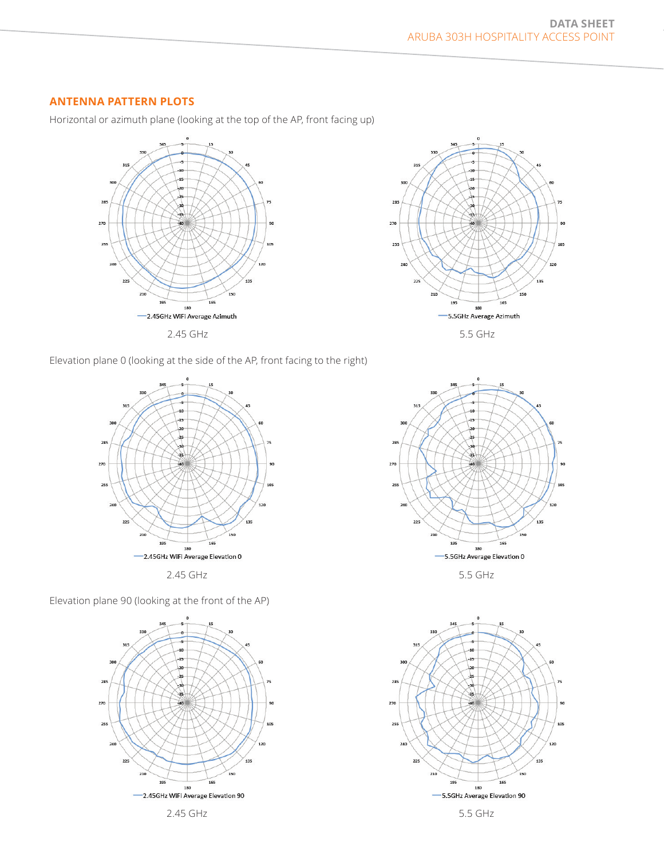# **ANTENNA PATTERN PLOTS**

Horizontal or azimuth plane (looking at the top of the AP, front facing up)





Elevation plane 0 (looking at the side of the AP, front facing to the right)



Elevation plane 90 (looking at the front of the AP)